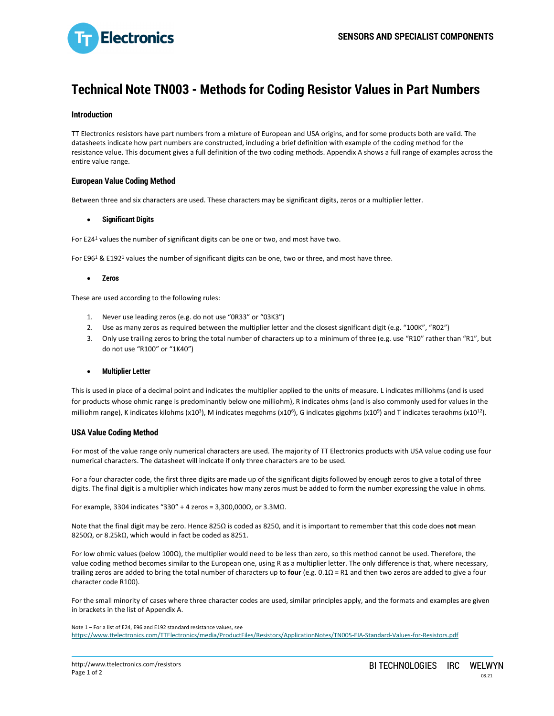

# **Technical Note TN003 - Methods for Coding Resistor Values in Part Numbers**

## **Introduction**

TT Electronics resistors have part numbers from a mixture of European and USA origins, and for some products both are valid. The datasheets indicate how part numbers are constructed, including a brief definition with example of the coding method for the resistance value. This document gives a full definition of the two coding methods. Appendix A shows a full range of examples across the entire value range.

### **European Value Coding Method**

Between three and six characters are used. These characters may be significant digits, zeros or a multiplier letter.

#### **Significant Digits**

For E24<sup>1</sup> values the number of significant digits can be one or two, and most have two.

For E96<sup>1</sup> & E192<sup>1</sup> values the number of significant digits can be one, two or three, and most have three.

#### **Zeros**

These are used according to the following rules:

- 1. Never use leading zeros (e.g. do not use "0R33" or "03K3")
- 2. Use as many zeros as required between the multiplier letter and the closest significant digit (e.g. "100K", "R02")
- 3. Only use trailing zeros to bring the total number of characters up to a minimum of three (e.g. use "R10" rather than "R1", but do not use "R100" or "1K40")

#### **Multiplier Letter**

This is used in place of a decimal point and indicates the multiplier applied to the units of measure. L indicates milliohms (and is used for products whose ohmic range is predominantly below one milliohm), R indicates ohms (and is also commonly used for values in the milliohm range), K indicates kilohms (x10<sup>3</sup>), M indicates megohms (x10<sup>6</sup>), G indicates gigohms (x10<sup>9</sup>) and T indicates teraohms (x10<sup>12</sup>).

#### **USA Value Coding Method**

For most of the value range only numerical characters are used. The majority of TT Electronics products with USA value coding use four numerical characters. The datasheet will indicate if only three characters are to be used.

For a four character code, the first three digits are made up of the significant digits followed by enough zeros to give a total of three digits. The final digit is a multiplier which indicates how many zeros must be added to form the number expressing the value in ohms.

For example, 3304 indicates "330" + 4 zeros = 3,300,000Ω, or 3.3MΩ.

Note that the final digit may be zero. Hence 825Ω is coded as 8250, and it is important to remember that this code does **not** mean 8250Ω, or 8.25kΩ, which would in fact be coded as 8251.

For low ohmic values (below 100Ω), the multiplier would need to be less than zero, so this method cannot be used. Therefore, the value coding method becomes similar to the European one, using R as a multiplier letter. The only difference is that, where necessary, trailing zeros are added to bring the total number of characters up to **four** (e.g. 0.1Ω = R1 and then two zeros are added to give a four character code R100).

For the small minority of cases where three character codes are used, similar principles apply, and the formats and examples are given in brackets in the list of Appendix A.

Note 1 – For a list of E24, E96 and E192 standard resistance values, see https://www.ttelectronics.com/TTElectronics/media/ProductFiles/Resistors/ApplicationNotes/TN005-EIA-Standard-Values-for-Resistors.pdf